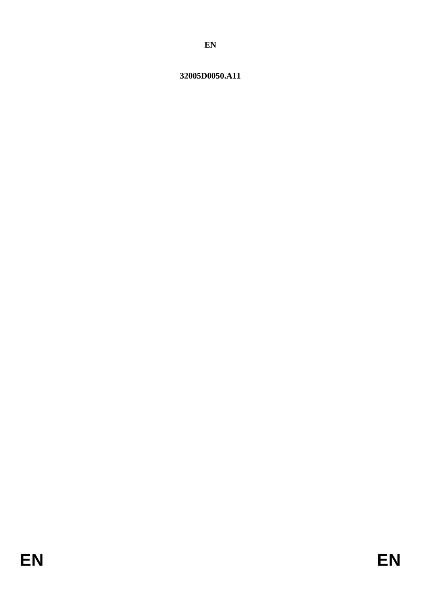# <span id="page-0-0"></span>32005D0050.A11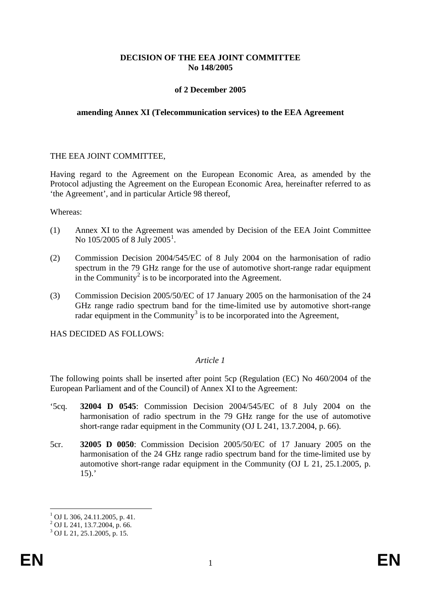## **DECISION OF THE EEA JOINT COMMITTEE No 148/2005**

## **of 2 December 2005**

#### **amending Annex XI (Telecommunication services) to the EEA Agreement**

#### THE EEA JOINT COMMITTEE,

Having regard to the Agreement on the European Economic Area, as amended by the Protocol adjusting the Agreement on the European Economic Area, hereinafter referred to as 'the Agreement', and in particular Article 98 thereof,

Whereas:

- (1) Annex XI to the Agreement was amended by Decision of the EEA Joint Committee No [1](#page-0-0)05/2005 of 8 July 2005 $^1$ .
- (2) Commission Decision 2004/545/EC of 8 July 2004 on the harmonisation of radio spectrum in the 79 GHz range for the use of automotive short-range radar equipment in the Community<sup>[2](#page-1-0)</sup> is to be incorporated into the Agreement.
- (3) Commission Decision 2005/50/EC of 17 January 2005 on the harmonisation of the 24 GHz range radio spectrum band for the time-limited use by automotive short-range radar equipment in the Community<sup>[3](#page-1-1)</sup> is to be incorporated into the Agreement,

HAS DECIDED AS FOLLOWS:

## *Article 1*

The following points shall be inserted after point 5cp (Regulation (EC) No 460/2004 of the European Parliament and of the Council) of Annex XI to the Agreement:

- '5cq. **32004 D 0545**: Commission Decision 2004/545/EC of 8 July 2004 on the harmonisation of radio spectrum in the 79 GHz range for the use of automotive short-range radar equipment in the Community (OJ L 241, 13.7.2004, p. 66).
- 5cr. **32005 D 0050**: Commission Decision 2005/50/EC of 17 January 2005 on the harmonisation of the 24 GHz range radio spectrum band for the time-limited use by automotive short-range radar equipment in the Community (OJ L 21, 25.1.2005, p.  $15$ ).'

<span id="page-1-0"></span><sup>&</sup>lt;sup>1</sup> OJ L 306, 24.11.2005, p. 41.<br><sup>2</sup> OJ L 241, 13.7.2004, p. 66.<sup>3</sup> OJ L 21, 25.1.2005, p. 15.

<span id="page-1-1"></span>